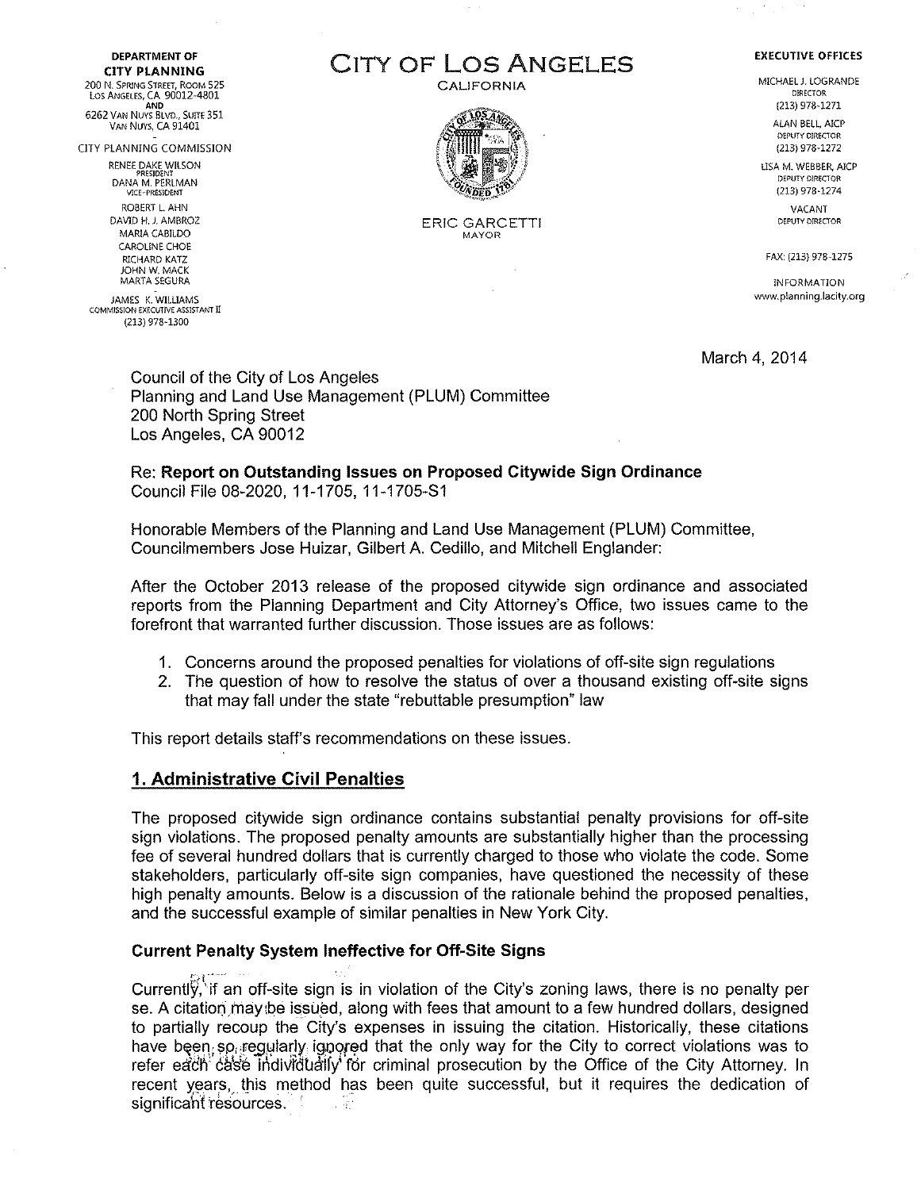**DEPARTMENT OF**  CITY PLANNING 200 N. SPRING STREET, ROOM 525 LOS ANGElES, CA 90012-4801 AND

6262 VAN NUYS BLVD., SUITE 351 VAN NUYS, CA 91401

CITY PLANNING COMMISSION

RENEE DAKE WILSON PRESIDENT DANA M. PERLMAN V!CE·PRES!DENT ROBERT L AHN DAVID H. J. AMBROZ MARIA CABJLDO CAROLINE CHOE RICHARD KATZ JOHN W. MACK MARTA SEGURA

JAMES K. WILLIAMS COMMISSION EXECUTIVE ASSISTANT II (213) 978-1300

# CITY OF LOS ANGELES

CALIFORNIA



ERIC GARCETTI MAYOR

**EXECUTIVE OFFICES**  MICHAEL J. LOGRANDE

DIRECTOR (213) 978-1271

ALAN BELL, AICP DEPUTY DIRECTOR (213) 978-1272

USA M. WEBBER, AICP DEPUTY DIRECTOR (213) 978-1274

> VACANT DEPUTY DIRECfOR

FAX: (213) 978-1275

INFORMATION www.p!anning.lacity.org

March 4, 2014

Council of the City of Los Angeles Planning and Land Use Management (PLUM) Committee 200 North Spring Street Los Angeles, CA 90012

Re: Report on Outstanding Issues on Proposed Citywide Sign Ordinance Council File 08-2020, 11-1705, 11-1705-S1

Honorable Members of the Planning and Land Use Management (PLUM) Committee, Councilmembers Jose Huizar, Gilbert A. Cedillo, and Mitchell Englander:

After the October 2013 release of the proposed citywide sign ordinance and associated reports from the Planning Department and City Attorney's Office, two issues came to the forefront that warranted further discussion. Those issues are as follows:

- 1. Concerns around the proposed penalties for violations of off-site sign regulations
- 2. The question of how to resolve the status of over a thousand existing off-site signs that may fall under the state "rebuttable presumption" law

This report details staff's recommendations on these issues.

#### 1. Administrative Civil Penalties

The proposed citywide sign ordinance contains substantial penalty provisions for off-site sign violations. The proposed penalty amounts are substantially higher than the processing fee of several hundred dollars that is currently charged to those who violate the code. Some stakeholders, particularly off-site sign companies, have questioned the necessity of these high penalty amounts. Below is a discussion of the rationale behind the proposed penalties, and the successful example of similar penalties in New York City.

#### Current Penalty System Ineffective for Off-Site Signs

'>! ..... .- Currently, if an off-site sign is in violation of the City's zoning laws, there is no penalty per se. A citation may be issued, along with fees that amount to a few hundred dollars, designed to partially recoup the City's expenses in issuing the citation. Historically, these citations have been so requiarly igpored that the only way for the City to correct violations was to refer each case individually for criminal prosecution by the Office of the City Attorney. In recent years, this method has been quite successful, but it requires the dedication of significant resources. **The significant resources**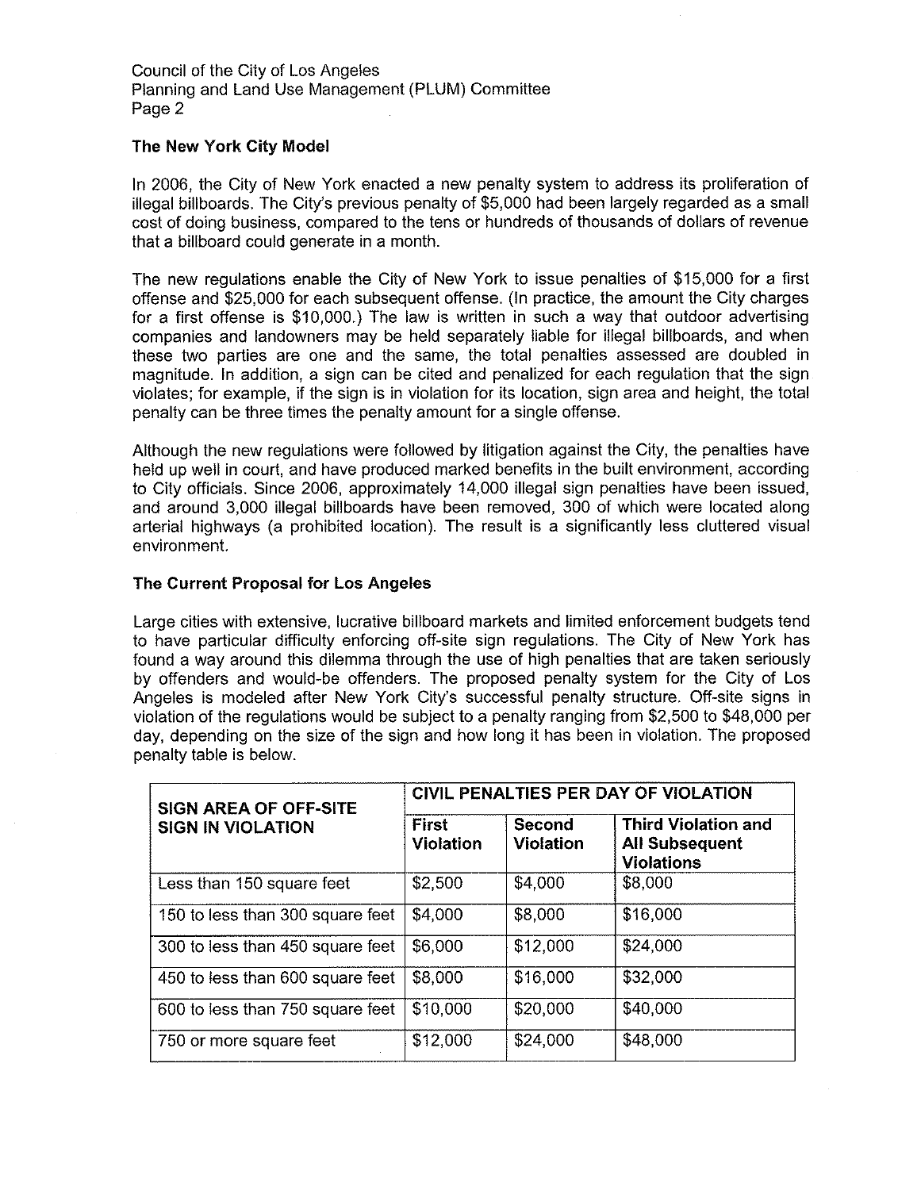#### **The New York City Model**

In 2006, the City of New York enacted a new penalty system to address its proliferation of illegal billboards. The City's previous penalty of \$5,000 had been largely regarded as a small cost of doing business, compared to the tens or hundreds of thousands of dollars of revenue that a billboard could generate in a month.

The new regulations enable the City of New York to issue penalties of \$15,000 for a first offense and \$25,000 for each subsequent offense. (In practice, the amount the City charges for a first offense is \$10,000.) The law is written in such a way that outdoor advertising companies and landowners may be held separately liable for illegal billboards, and when these two parties are one and the same, the total penalties assessed are doubled in magnitude. In addition, a sign can be cited and penalized for each regulation that the sign violates; for example, if the sign is in violation for its location, sign area and height, the total penalty can be three times the penalty amount for a single offense.

Although the new regulations were followed by litigation against the City, the penalties have held up well in court, and have produced marked benefits **in** the built environment, according to City officials. Since 2006, approximately 14,000 illegal sign penalties have been issued, and around 3,000 illegal billboards have been removed, 300 of which were located along arterial highways (a prohibited location). The result is a significantly less cluttered visual environment.

#### **The Current Proposal for Los Angeles**

Large cities with extensive, lucrative billboard markets and limited enforcement budgets tend to have particular difficulty enforcing off-site sign regulations. The City of New York has found a way around this dilemma through the use of high penalties that are taken seriously by offenders and would-be offenders. The proposed penalty system for the City of Los Angeles is modeled after New York City's successful penalty structure. Off-site signs in violation of the regulations would be subject to a penalty ranging from \$2,500 to \$48,000 per day, depending on the size of the sign and how long it has been in violation. The proposed penalty table is below.

| <b>SIGN AREA OF OFF-SITE</b>     | CIVIL PENALTIES PER DAY OF VIOLATION |                            |                                                                          |  |  |
|----------------------------------|--------------------------------------|----------------------------|--------------------------------------------------------------------------|--|--|
| <b>SIGN IN VIOLATION</b>         | <b>First</b><br>Violation            | Second<br><b>Violation</b> | <b>Third Violation and</b><br><b>All Subsequent</b><br><b>Violations</b> |  |  |
| Less than 150 square feet        | \$2,500                              | \$4,000                    | \$8,000                                                                  |  |  |
| 150 to less than 300 square feet | \$4,000                              | \$8,000                    | \$16,000                                                                 |  |  |
| 300 to less than 450 square feet | \$6,000                              | \$12,000                   | \$24,000                                                                 |  |  |
| 450 to less than 600 square feet | \$8,000                              | \$16,000                   | \$32,000                                                                 |  |  |
| 600 to less than 750 square feet | \$10,000                             | \$20,000                   | \$40,000                                                                 |  |  |
| 750 or more square feet          | \$12,000                             | \$24,000                   | \$48,000                                                                 |  |  |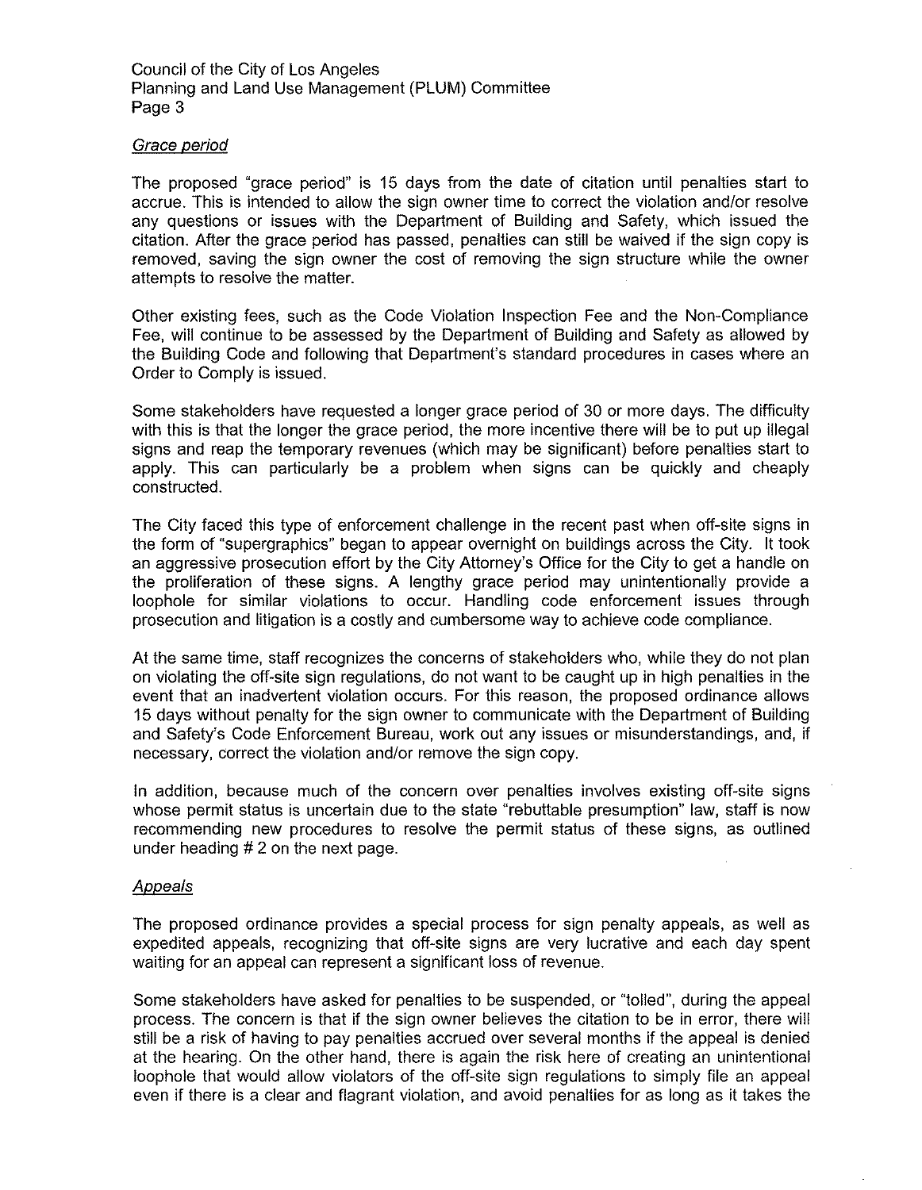#### Grace period

The proposed "grace period" is 15 days from the date of citation until penalties start to accrue. This is intended to allow the sign owner time to correct the violation and/or resolve any questions or issues with the Department of Building and Safety, which issued the citation. After the grace period has passed, penalties can still be waived if the sign copy is removed, saving the sign owner the cost of removing the sign structure while the owner attempts to resolve the matter.

Other existing fees, such as the Code Violation Inspection Fee and the Non-Compliance Fee, will continue to be assessed by the Department of Building and Safety as allowed by the Building Code and following that Department's standard procedures in cases where an Order to Comply is issued.

Some stakeholders have requested a longer grace period of 30 or more days. The difficulty with this is that the longer the grace period, the more incentive there will be to put up illegal signs and reap the temporary revenues (which may be significant) before penalties start to apply. This can particularly be a problem when signs can be quickly and cheaply constructed.

The City faced this type of enforcement challenge in the recent past when off-site signs in the form of "supergraphics" began to appear overnight on buildings across the City. It took an aggressive prosecution effort by the City Attorney's Office for the City to get a handle on the proliferation of these signs. A lengthy grace period may unintentionally provide a loophole for similar violations to occur. Handling code enforcement issues through prosecution and litigation is a costly and cumbersome way to achieve code compliance.

At the same time, staff recognizes the concerns of stakeholders who, while they do not plan on violating the off-site sign regulations, do not want to be caught up in high penalties in the event that an inadvertent violation occurs. For this reason, the proposed ordinance allows 15 days without penalty for the sign owner to communicate with the Department of Building and Safety's Code Enforcement Bureau, work out any issues or misunderstandings, and, if necessary, correct the violation and/or remove the sign copy.

In addition, because much of the concern over penalties involves existing off-site signs whose permit status is uncertain due to the state "rebuttable presumption" law, staff is now recommending new procedures to resolve the permit status of these signs, as outlined under heading # 2 on the next page.

#### **Appeals**

The proposed ordinance provides a special process for sign penalty appeals, as well as expedited appeals, recognizing that off-site signs are very lucrative and each day spent waiting for an appeal can represent a significant loss of revenue.

Some stakeholders have asked for penalties to be suspended, or "tolled", during the appeal process. The concern is that if the sign owner believes the citation to be in error, there will still be a risk of having to pay penalties accrued over several months if the appeal is denied at the hearing. On the other hand, there is again the risk here of creating an unintentional loophole that would allow violators of the off-site sign regulations to simply file an appeal even if there is a clear and flagrant violation, and avoid penalties for as long as it takes the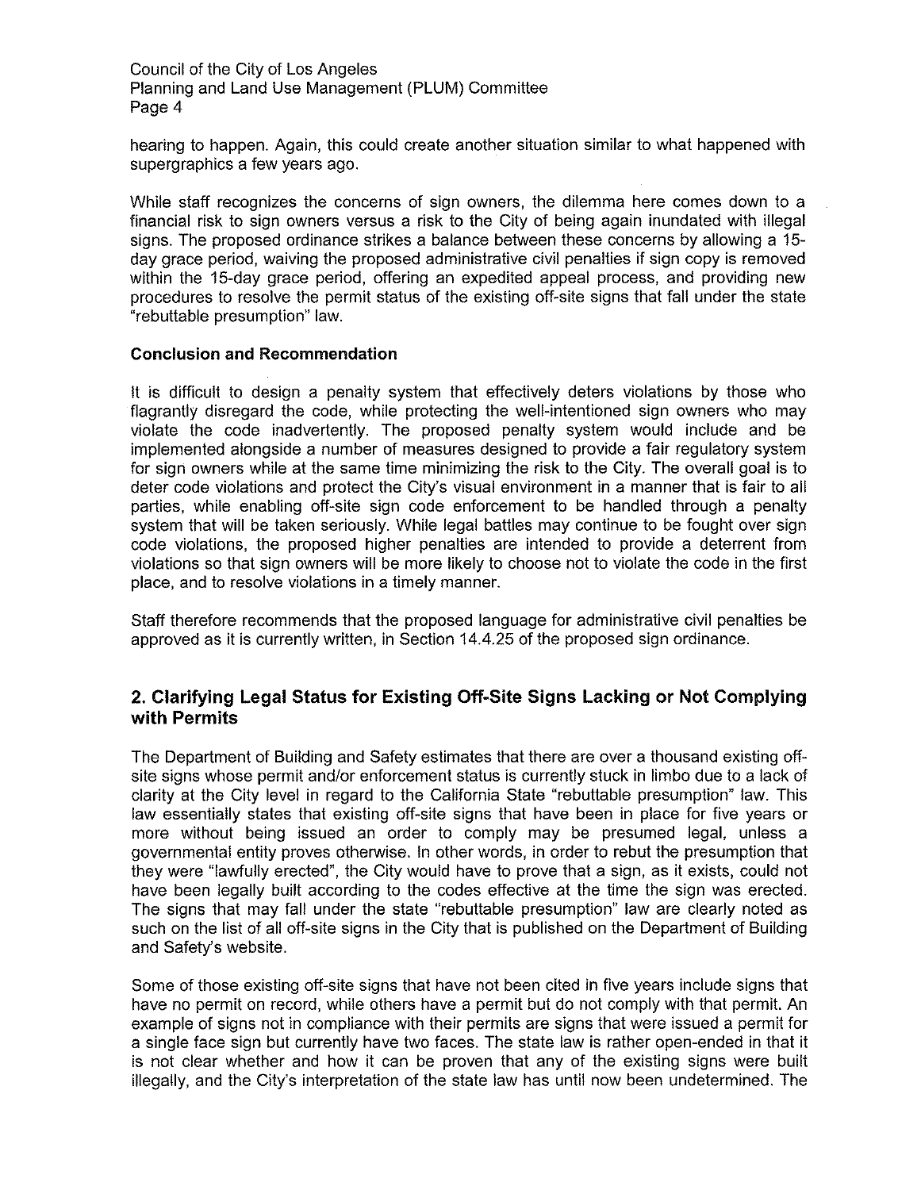hearing to happen. Again, this could create another situation similar to what happened with supergraphics a few years ago.

While staff recognizes the concerns of sign owners, the dilemma here comes down to a financial risk to sign owners versus a risk to the City of being again inundated with illegal signs. The proposed ordinance strikes a balance between these concerns by allowing a 15 day grace period, waiving the proposed administrative civil penalties if sign copy is removed within the 15-day grace period, offering an expedited appeal process, and providing new procedures to resolve the permit status of the existing off-site signs that fall under the state "rebuttable presumption" law.

#### **Conclusion and Recommendation**

It is difficult to design a penalty system that effectively deters violations by those who flagrantly disregard the code, while protecting the well-intentioned sign owners who may violate the code inadvertently. The proposed penalty system would include and be implemented alongside a number of measures designed to provide a fair regulatory system for sign owners while at the same time minimizing the risk to the City. The overall goal is to deter code violations and protect the City's visual environment in a manner that is fair to all parties, while enabling off-site sign code enforcement to be handled through a penalty system that will be taken seriously. While legal battles may continue to be fought over sign code violations, the proposed higher penalties are intended to provide a deterrent from violations so that sign owners will be more likely to choose not to violate the code in the first place, and to resolve violations in a timely manner.

Staff therefore recommends that the proposed language for administrative civil penalties be approved as it is currently written, in Section 14.4.25 of the proposed sign ordinance.

# **2. Clarifying Legal Status for Existing Off-Site Signs lacking or Not Complying with Permits**

The Department of Building and Safety estimates that there are over a thousand existing offsite signs whose permit and/or enforcement status is currently stuck in limbo due to a lack of clarity at the City level in regard to the California State "rebuttable presumption" law. This law essentially states that existing off-site signs that have been in place for five years or more without being issued an order to comply may be presumed legal, unless a governmental entity proves otherwise. In other words, in order to rebut the presumption that they were "lawfully erected", the City would have to prove that a sign, as it exists, could not have been legally built according to the codes effective at the time the sign was erected. The signs that may fall under the state "rebuttable presumption" law are clearly noted as such on the list of all off-site signs in the City that is published on the Department of Building and Safety's website.

Some of those existing off-site signs that have not been cited in five years include signs that have no permit on record, while others have a permit but do not comply with that permit. An example of signs not in compliance with their permits are signs that were issued a permit for a single face sign but currently have two faces. The state law is rather open-ended in that it is not clear whether and how it can be proven that any of the existing signs were built illegally, and the City's interpretation of the state law has until now been undetermined. The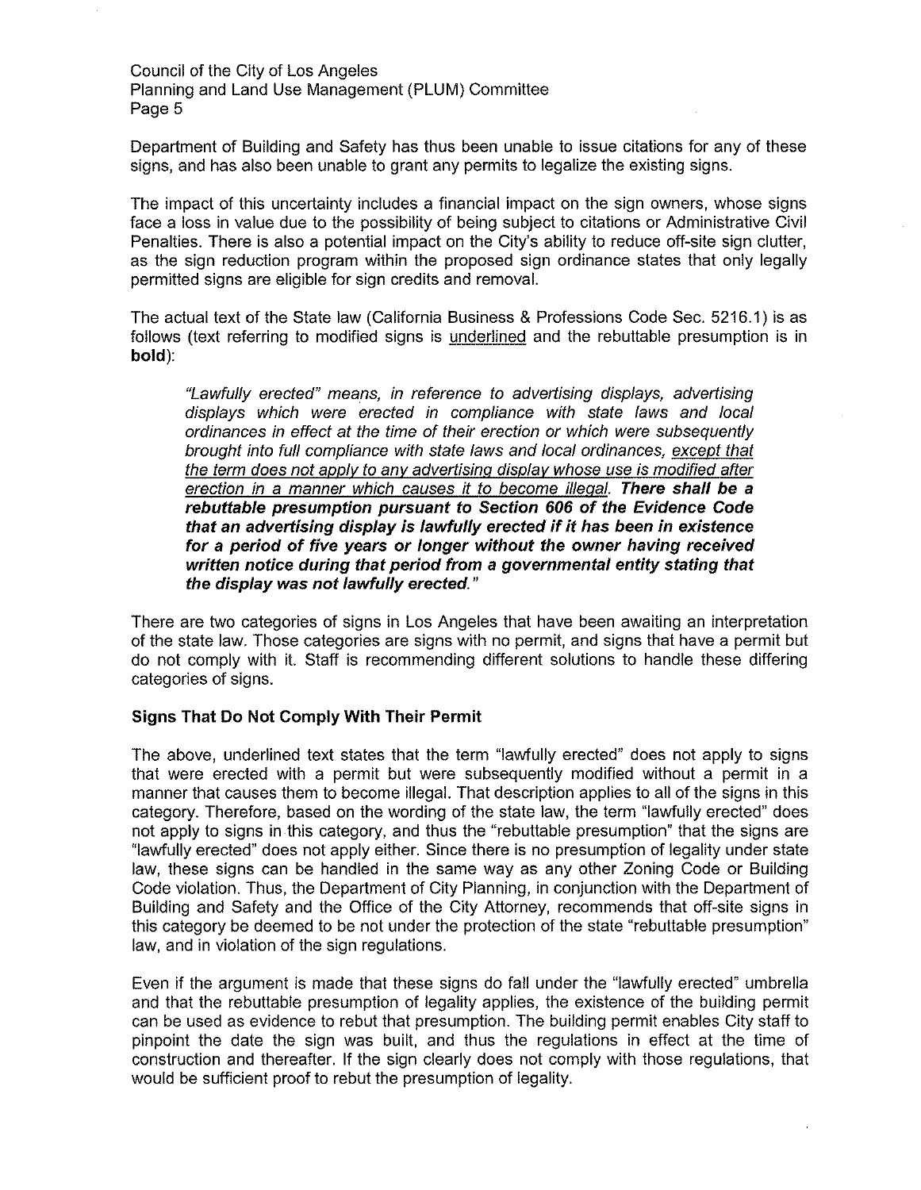Department of Building and Safety has thus been unable to issue citations for any of these signs, and has also been unable to grant any permits to legalize the existing signs.

The impact of this uncertainty includes a financial impact on the sign owners, whose signs face a loss in value due to the possibility of being subject to citations or Administrative Civil Penalties. There is also a potential impact on the City's ability to reduce off-site sign clutter, as the sign reduction program within the proposed sign ordinance states that only legally permitted signs are eligible for sign credits and removal.

The actual text of the State law (California Business & Professions Code Sec. 5216.1) is as follows (text referring to modified signs is underlined and the rebuttable presumption is in **bold):** 

"Lawfully erected" means. in reference to advertising displays, advertising displays which were erected in compliance with state Jaws and local ordinances in effect at the time of their erection or which were subsequently brought into full compliance with state laws and local ordinances, except that the term does not applv to any advertising display whose use is modified after erection in a manner which causes it to become illegal. **There shall be a rebuttable presumption pursuant to Section 606 of the Evidence Code that an advertising display is lawfully erected if it has been in existence for a period of five years or longer without the owner having received written notice during that period from a governmental entity stating that the display was not lawfully erected."** 

There are two categories of signs in Los Angeles that have been awaiting an interpretation of the state Jaw. Those categories are signs with no permit, and signs that have a permit but do not comply with it. Staff is recommending different solutions to handle these differing categories of signs.

#### **Signs That Do Not Comply With Their Permit**

The above, underlined text states that the term "lawfully erected" does not apply to signs that were erected with a permit but were subsequently modified without a permit in a manner that causes them to become illegal. That description applies to all of the signs in this category. Therefore, based on the wording of the state law, the term "lawfully erected" does not apply to signs in this category, and thus the "rebuttable presumption" that the signs are "lawfully erected" does not apply either. Since there is no presumption of legality under state law, these signs can be handled in the same way as any other Zoning Code or Building Code violation. Thus, the Department of City Planning, in conjunction with the Department of Building and Safety and the Office of the City Attorney, recommends that off-site signs in this category be deemed to be not under the protection of the state "rebuttable presumption" law, and in violation of the sign regulations.

Even if the argument is made that these signs do fall under the "lawfully erected" umbrella and that the rebuttable presumption of legality applies, the existence of the building permit can be used as evidence to rebut that presumption. The building permit enables City staff to pinpoint the date the sign was built, and thus the regulations in effect at the time of construction and thereafter. If the sign clearly does not comply with those regulations, that would be sufficient proof to rebut the presumption of legality.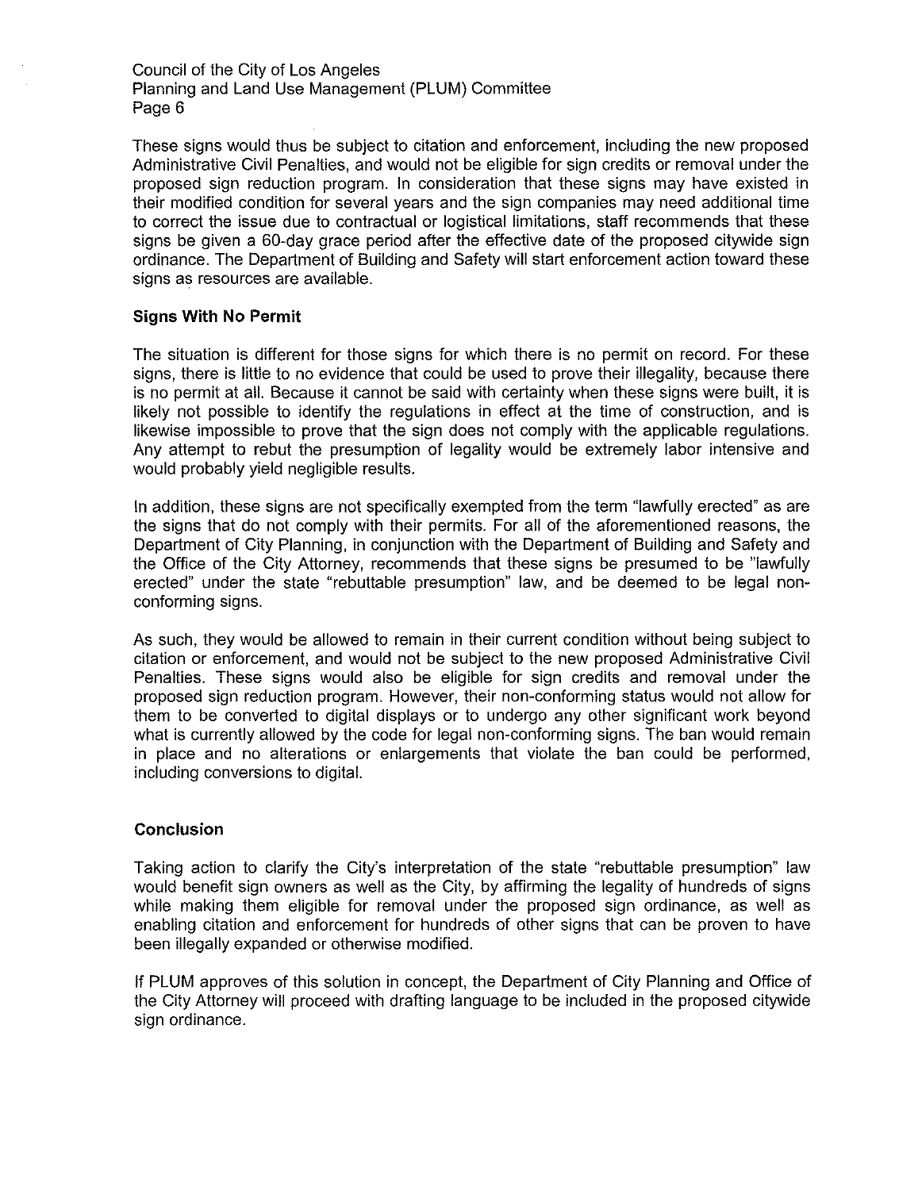These signs would thus be subject to citation and enforcement, including the new proposed Administrative Civil Penalties, and would not be eligible for sign credits or removal under the proposed sign reduction program. In consideration that these signs may have existed in their modified condition for several years and the sign companies may need additional time to correct the issue due to contractual or logistical limitations, staff recommends that these signs be given a 60-day grace period after the effective date of the proposed citywide sign ordinance. The Department of Building and Safety will start enforcement action toward these signs as resources are available.

#### **Signs With No Permit**

The situation is different for those signs for which there is no permit on record. For these signs, there is little to no evidence that could be used to prove their illegality, because there is no permit at all. Because it cannot be said with certainty when these signs were built, it is likely not possible to identify the regulations in effect at the time of construction, and is likewise impossible to prove that the sign does not comply with the applicable regulations. Any attempt to rebut the presumption of legality would be extremely labor intensive and would probably yield negligible results.

In addition, these signs are not specifically exempted from the term "lawfully erected" as are the signs that do not comply with their permits. For all of the aforementioned reasons, the Department of City Planning, in conjunction with the Department of Building and Safety and the Office of the City Attorney, recommends that these signs be presumed to be "lawfully erected" under the state "rebuttable presumption" law, and be deemed to be legal nonconforming signs.

As such, they would be allowed to remain in their current condition without being subject to citation or enforcement, and would not be subject to the new proposed Administrative Civil Penalties. These signs would also be eligible for sign credits and removal under the proposed sign reduction program. However, their non-conforming status would not allow for them to be converted to digital displays or to undergo any other significant work beyond what is currently allowed by the code for legal non-conforming signs. The ban would remain in place and no alterations or enlargements that violate the ban could be performed, including conversions to digital.

#### **Conclusion**

Taking action to clarify the City's interpretation of the state "rebuttable presumption" law would benefit sign owners as well as the City, by affirming the legality of hundreds of signs while making them eligible for removal under the proposed sign ordinance, as well as enabling citation and enforcement for hundreds of other signs that can be proven to have been illegally expanded or otherwise modified.

If PLUM approves of this solution in concept, the Department of City Planning and Office of the City Attorney will proceed with drafting language to be included in the proposed citywide sign ordinance.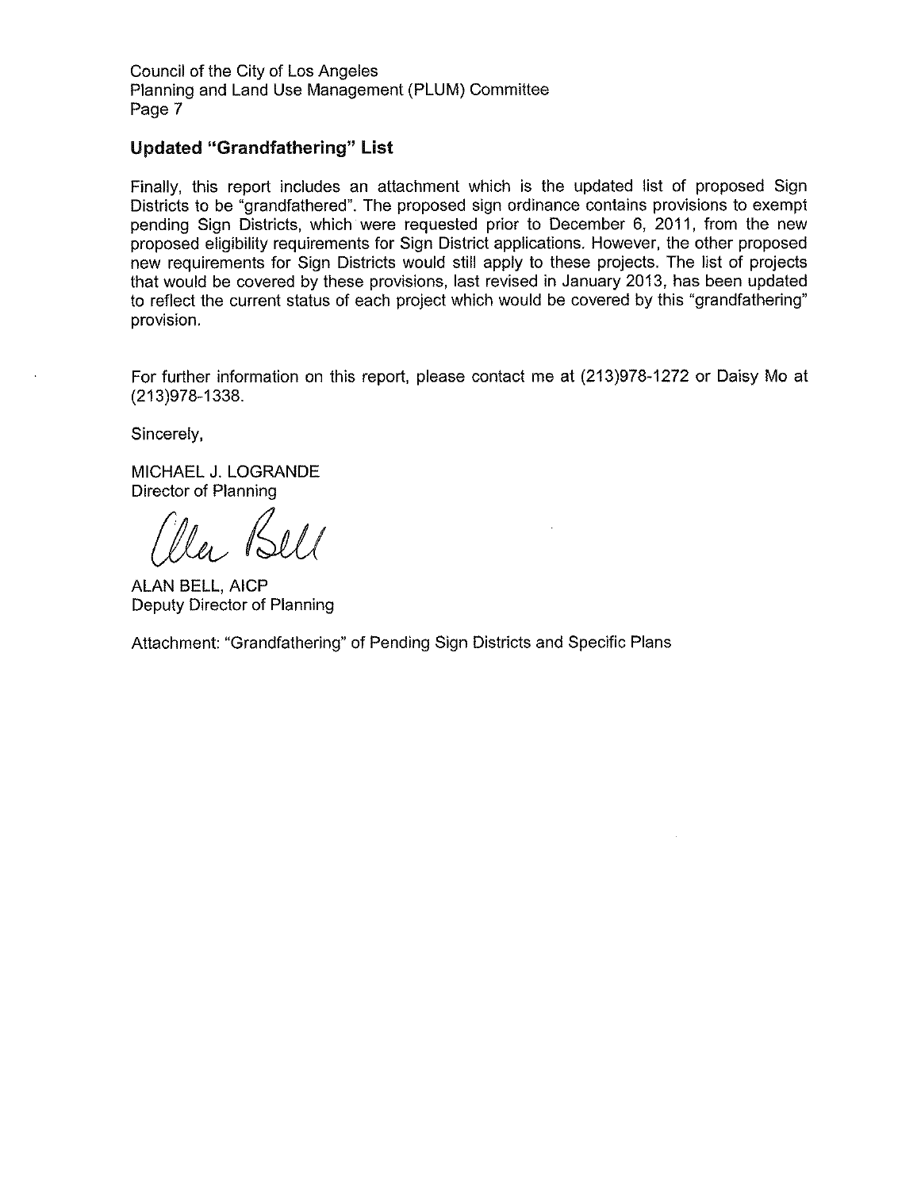## **Updated "Grandfathering" List**

Finally, this report includes an attachment which is the updated list of proposed Sign Districts to be "grandfathered". The proposed sign ordinance contains provisions to exempt pending Sign Districts, which were requested prior to December 6, 2011, from the new proposed eligibility requirements for Sign District applications. However, the other proposed new requirements for Sign Districts would still apply to these projects. The list of projects that would be covered by these provisions, last revised in January 2013, has been updated to reflect the current status of each project which would be covered by this "grandfathering" provision.

For further information on this report, please contact me at (213)978-1272 or Daisy Mo at (213)978-1338.

Sincerely,

MICHAEL J. LOGRANDE Director of Planning

la Bell

ALAN BELL, AICP Deputy Director of Planning

Attachment: "Grandfathering" of Pending Sign Districts and Specific Plans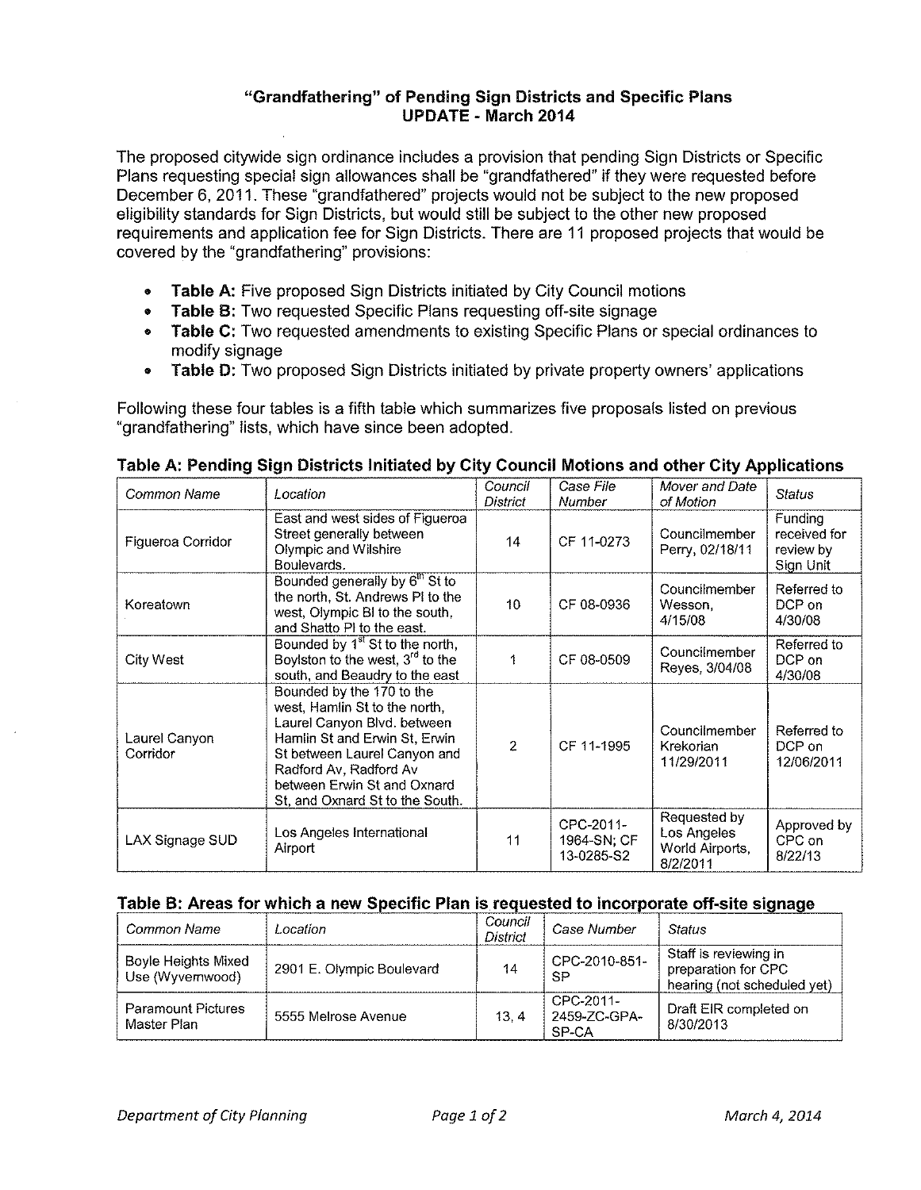## **"Grandfathering" of Pending Sign Districts and Specific Plans UPDATE- March 2014**

The proposed citywide sign ordinance includes a provision that pending Sign Districts or Specific Plans requesting special sign allowances shall be "grandfathered" if they were requested before December 6, 2011. These "grandfathered" projects would not be subject to the new proposed eligibility standards for Sign Districts, but would still be subject to the other new proposed requirements and application fee for Sign Districts. There are 11 proposed projects that would be covered by the "grandfathering" provisions:

- **Table** A: Five proposed Sign Districts initiated by City Council motions
- **Table B:** Two requested Specific Plans requesting off-site signage
- **Table C:** Two requested amendments to existing Specific Plans or special ordinances to modify signage
- **Table D:** Two proposed Sign Districts initiated by private property owners' applications

Following these four tables is a fifth table which summarizes five proposals listed on previous "grandfathering" lists, which have since been adopted.

| Common Name               | Location                                                                                                                                                                                                                                               | Council<br>District | Case File<br><b>Number</b>             | Mover and Date<br>of Motion                                | <b>Status</b>                                     |
|---------------------------|--------------------------------------------------------------------------------------------------------------------------------------------------------------------------------------------------------------------------------------------------------|---------------------|----------------------------------------|------------------------------------------------------------|---------------------------------------------------|
| Figueroa Corridor         | East and west sides of Figueroa<br>Street generally between<br>Olympic and Wilshire<br>Boulevards.                                                                                                                                                     | 14                  | CF 11-0273                             | Councilmember<br>Perry, 02/18/11                           | Funding<br>received for<br>review by<br>Sign Unit |
| Koreatown                 | Bounded generally by 6 <sup>th</sup> St to<br>the north, St. Andrews PI to the<br>west, Olympic BI to the south,<br>and Shatto PI to the east.                                                                                                         | 10 <sup>1</sup>     | CF 08-0936                             | Councilmember<br>Wesson,<br>4/15/08                        | Referred to<br>DCP on<br>4/30/08                  |
| City West                 | Bounded by 1 <sup>st</sup> St to the north,<br>Boylston to the west, $3^{rd}$ to the<br>south, and Beaudry to the east                                                                                                                                 |                     | CF 08-0509                             | Councilmember<br>Reyes, 3/04/08                            | Referred to<br>DCP on<br>4/30/08                  |
| Laurel Canyon<br>Corridor | Bounded by the 170 to the<br>west, Hamlin St to the north,<br>Laurel Canyon Blvd. between<br>Hamlin St and Erwin St, Erwin<br>St between Laurel Canyon and<br>Radford Av, Radford Av<br>between Erwin St and Oxnard<br>St, and Oxnard St to the South. | $\overline{2}$      | CF 11-1995                             | Councilmember<br>Krekorian<br>11/29/2011                   | Referred to<br>DCP on<br>12/06/2011               |
| LAX Signage SUD           | Los Angeles International<br>Airport                                                                                                                                                                                                                   | 11                  | CPC-2011-<br>1964-SN; CF<br>13-0285-S2 | Requested by<br>Los Angeles<br>World Airports,<br>8/2/2011 | Approved by<br>CPC on<br>8/22/13                  |

# **Table A: Pending Sign Districts Initiated by City Council Motions and other City Applications**

# **Table B· Areas for which a new Specific Plan is requested to incorporate off-site signage**

| Common Name                                    | Location.                 | Council<br><b>District</b> | Case Number                        | Status                                                                      |
|------------------------------------------------|---------------------------|----------------------------|------------------------------------|-----------------------------------------------------------------------------|
| <b>Boyle Heights Mixed</b><br>Use (Wyvernwood) | 2901 E. Olympic Boulevard | 14                         | CPC-2010-851-<br>SP                | Staff is reviewing in<br>preparation for CPC<br>hearing (not scheduled yet) |
| <b>Paramount Pictures</b><br>Master Plan       | 5555 Melrose Avenue       | 13.4                       | CPC-2011-<br>2459-ZC-GPA-<br>SP-CA | Draft EIR completed on<br>8/30/2013                                         |